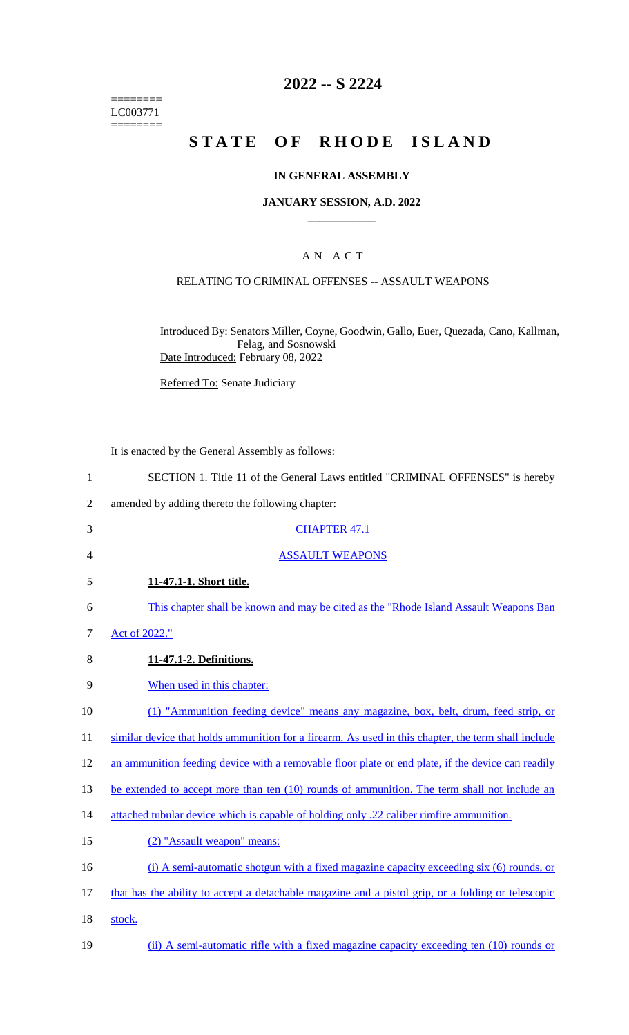======== LC003771 ========

## **2022 -- S 2224**

# **STATE OF RHODE ISLAND**

#### **IN GENERAL ASSEMBLY**

#### **JANUARY SESSION, A.D. 2022 \_\_\_\_\_\_\_\_\_\_\_\_**

### A N A C T

#### RELATING TO CRIMINAL OFFENSES -- ASSAULT WEAPONS

Introduced By: Senators Miller, Coyne, Goodwin, Gallo, Euer, Quezada, Cano, Kallman, Felag, and Sosnowski Date Introduced: February 08, 2022

Referred To: Senate Judiciary

It is enacted by the General Assembly as follows:

- 1 SECTION 1. Title 11 of the General Laws entitled "CRIMINAL OFFENSES" is hereby
- 2 amended by adding thereto the following chapter:
- 3 CHAPTER 47.1
- 4 ASSAULT WEAPONS
- 5 **11-47.1-1. Short title.**
- 6 This chapter shall be known and may be cited as the "Rhode Island Assault Weapons Ban
- 7 Act of 2022."
- 8 **11-47.1-2. Definitions.**
- 9 When used in this chapter:
- 10 (1) "Ammunition feeding device" means any magazine, box, belt, drum, feed strip, or
- 11 similar device that holds ammunition for a firearm. As used in this chapter, the term shall include
- 12 an ammunition feeding device with a removable floor plate or end plate, if the device can readily
- 13 be extended to accept more than ten (10) rounds of ammunition. The term shall not include an
- 14 attached tubular device which is capable of holding only .22 caliber rimfire ammunition.
- 15 (2) "Assault weapon" means:
- 16 (i) A semi-automatic shotgun with a fixed magazine capacity exceeding six (6) rounds, or
- 17 that has the ability to accept a detachable magazine and a pistol grip, or a folding or telescopic
- 18 stock.
- 19 (ii) A semi-automatic rifle with a fixed magazine capacity exceeding ten (10) rounds or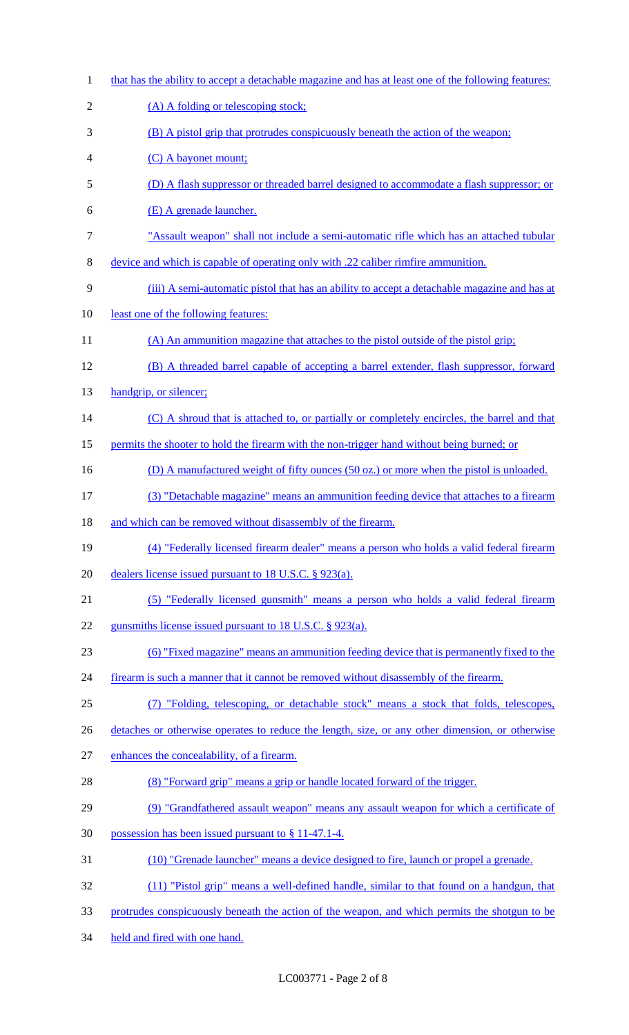that has the ability to accept a detachable magazine and has at least one of the following features: 2 (A) A folding or telescoping stock; (B) A pistol grip that protrudes conspicuously beneath the action of the weapon; (C) A bayonet mount; (D) A flash suppressor or threaded barrel designed to accommodate a flash suppressor; or (E) A grenade launcher. "Assault weapon" shall not include a semi-automatic rifle which has an attached tubular device and which is capable of operating only with .22 caliber rimfire ammunition. (iii) A semi-automatic pistol that has an ability to accept a detachable magazine and has at least one of the following features: 11 (A) An ammunition magazine that attaches to the pistol outside of the pistol grip; (B) A threaded barrel capable of accepting a barrel extender, flash suppressor, forward 13 handgrip, or silencer; 14 (C) A shroud that is attached to, or partially or completely encircles, the barrel and that 15 permits the shooter to hold the firearm with the non-trigger hand without being burned; or 16 (D) A manufactured weight of fifty ounces (50 oz.) or more when the pistol is unloaded. (3) "Detachable magazine" means an ammunition feeding device that attaches to a firearm 18 and which can be removed without disassembly of the firearm. (4) "Federally licensed firearm dealer" means a person who holds a valid federal firearm dealers license issued pursuant to 18 U.S.C. § 923(a). (5) "Federally licensed gunsmith" means a person who holds a valid federal firearm 22 gunsmiths license issued pursuant to 18 U.S.C. § 923(a). (6) "Fixed magazine" means an ammunition feeding device that is permanently fixed to the 24 firearm is such a manner that it cannot be removed without disassembly of the firearm. (7) "Folding, telescoping, or detachable stock" means a stock that folds, telescopes, 26 detaches or otherwise operates to reduce the length, size, or any other dimension, or otherwise enhances the concealability, of a firearm. (8) "Forward grip" means a grip or handle located forward of the trigger. (9) "Grandfathered assault weapon" means any assault weapon for which a certificate of possession has been issued pursuant to § 11-47.1-4. (10) "Grenade launcher" means a device designed to fire, launch or propel a grenade. (11) "Pistol grip" means a well-defined handle, similar to that found on a handgun, that protrudes conspicuously beneath the action of the weapon, and which permits the shotgun to be held and fired with one hand.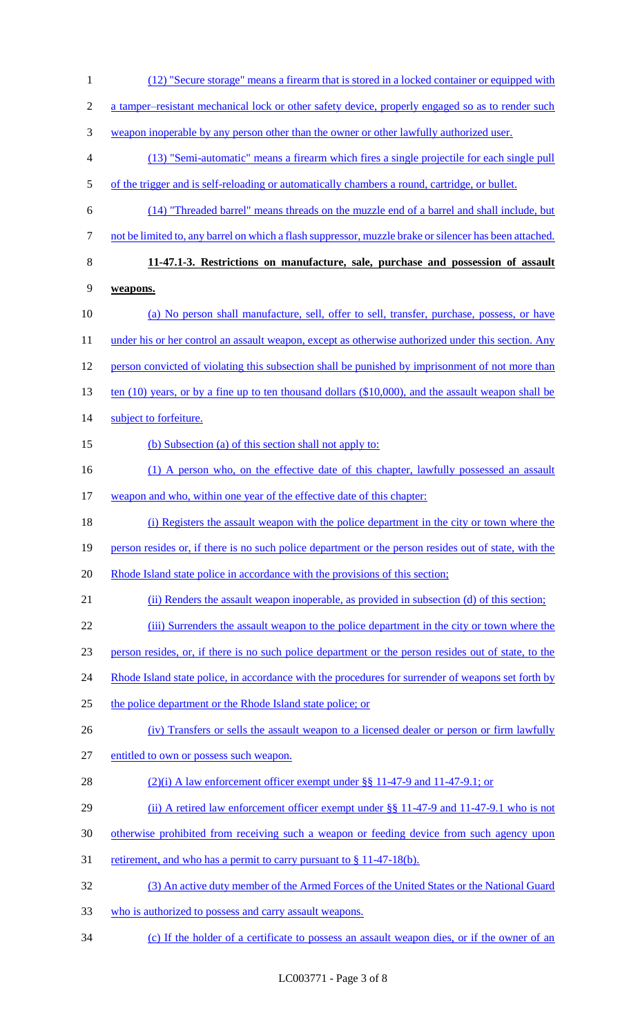1 (12) "Secure storage" means a firearm that is stored in a locked container or equipped with 2 a tamper–resistant mechanical lock or other safety device, properly engaged so as to render such 3 weapon inoperable by any person other than the owner or other lawfully authorized user. 4 (13) "Semi-automatic" means a firearm which fires a single projectile for each single pull 5 of the trigger and is self-reloading or automatically chambers a round, cartridge, or bullet. 6 (14) "Threaded barrel" means threads on the muzzle end of a barrel and shall include, but 7 not be limited to, any barrel on which a flash suppressor, muzzle brake or silencer has been attached. 8 **11-47.1-3. Restrictions on manufacture, sale, purchase and possession of assault**  9 **weapons.**  10 (a) No person shall manufacture, sell, offer to sell, transfer, purchase, possess, or have 11 under his or her control an assault weapon, except as otherwise authorized under this section. Any 12 person convicted of violating this subsection shall be punished by imprisonment of not more than 13 ten (10) years, or by a fine up to ten thousand dollars (\$10,000), and the assault weapon shall be 14 subject to forfeiture. 15 (b) Subsection (a) of this section shall not apply to: 16 (1) A person who, on the effective date of this chapter, lawfully possessed an assault 17 weapon and who, within one year of the effective date of this chapter: 18 (i) Registers the assault weapon with the police department in the city or town where the 19 person resides or, if there is no such police department or the person resides out of state, with the 20 Rhode Island state police in accordance with the provisions of this section; 21 (ii) Renders the assault weapon inoperable, as provided in subsection (d) of this section; 22 (iii) Surrenders the assault weapon to the police department in the city or town where the 23 person resides, or, if there is no such police department or the person resides out of state, to the 24 Rhode Island state police, in accordance with the procedures for surrender of weapons set forth by 25 the police department or the Rhode Island state police; or 26 (iv) Transfers or sells the assault weapon to a licensed dealer or person or firm lawfully 27 entitled to own or possess such weapon. 28 (2)(i) A law enforcement officer exempt under §§ 11-47-9 and 11-47-9.1; or 29 (ii) A retired law enforcement officer exempt under §§ 11-47-9 and 11-47-9.1 who is not 30 otherwise prohibited from receiving such a weapon or feeding device from such agency upon 31 retirement, and who has a permit to carry pursuant to  $\S 11-47-18(b)$ . 32 (3) An active duty member of the Armed Forces of the United States or the National Guard 33 who is authorized to possess and carry assault weapons. 34 (c) If the holder of a certificate to possess an assault weapon dies, or if the owner of an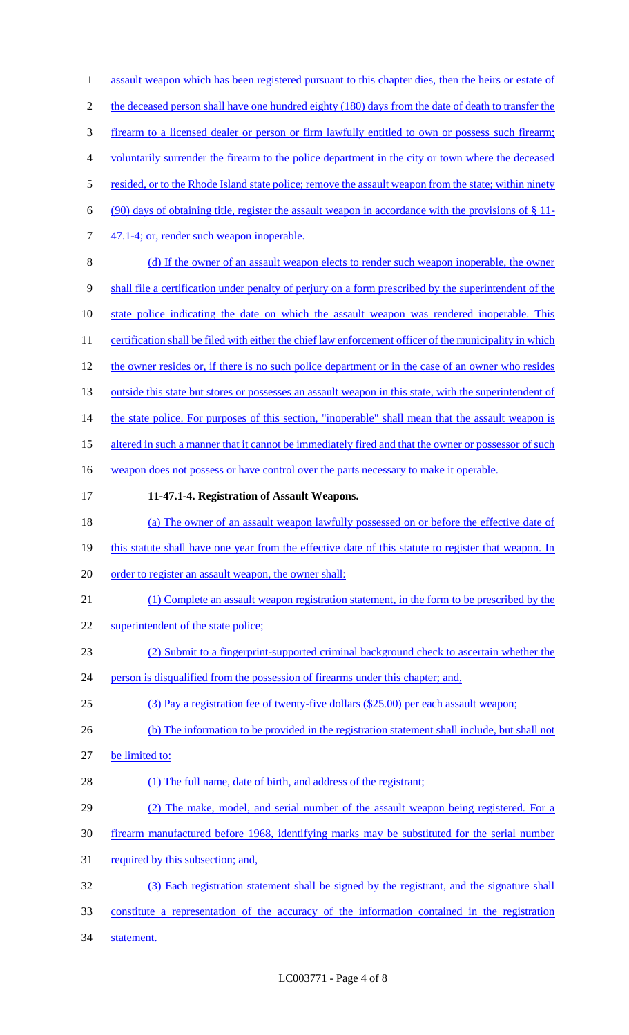1 assault weapon which has been registered pursuant to this chapter dies, then the heirs or estate of 2 the deceased person shall have one hundred eighty (180) days from the date of death to transfer the 3 firearm to a licensed dealer or person or firm lawfully entitled to own or possess such firearm; 4 voluntarily surrender the firearm to the police department in the city or town where the deceased 5 resided, or to the Rhode Island state police; remove the assault weapon from the state; within ninety 6 (90) days of obtaining title, register the assault weapon in accordance with the provisions of  $\S 11$ -7 47.1-4; or, render such weapon inoperable. 8 (d) If the owner of an assault weapon elects to render such weapon inoperable, the owner 9 shall file a certification under penalty of perjury on a form prescribed by the superintendent of the 10 state police indicating the date on which the assault weapon was rendered inoperable. This 11 certification shall be filed with either the chief law enforcement officer of the municipality in which 12 the owner resides or, if there is no such police department or in the case of an owner who resides 13 outside this state but stores or possesses an assault weapon in this state, with the superintendent of 14 the state police. For purposes of this section, "inoperable" shall mean that the assault weapon is 15 altered in such a manner that it cannot be immediately fired and that the owner or possessor of such 16 weapon does not possess or have control over the parts necessary to make it operable. 17 **11-47.1-4. Registration of Assault Weapons.**  18 (a) The owner of an assault weapon lawfully possessed on or before the effective date of 19 this statute shall have one year from the effective date of this statute to register that weapon. In 20 order to register an assault weapon, the owner shall: 21 (1) Complete an assault weapon registration statement, in the form to be prescribed by the 22 superintendent of the state police; 23 (2) Submit to a fingerprint-supported criminal background check to ascertain whether the 24 person is disqualified from the possession of firearms under this chapter; and, 25 (3) Pay a registration fee of twenty-five dollars (\$25.00) per each assault weapon; 26 (b) The information to be provided in the registration statement shall include, but shall not 27 be limited to: 28 (1) The full name, date of birth, and address of the registrant; 29 (2) The make, model, and serial number of the assault weapon being registered. For a 30 firearm manufactured before 1968, identifying marks may be substituted for the serial number 31 required by this subsection; and, 32 (3) Each registration statement shall be signed by the registrant, and the signature shall 33 constitute a representation of the accuracy of the information contained in the registration 34 statement.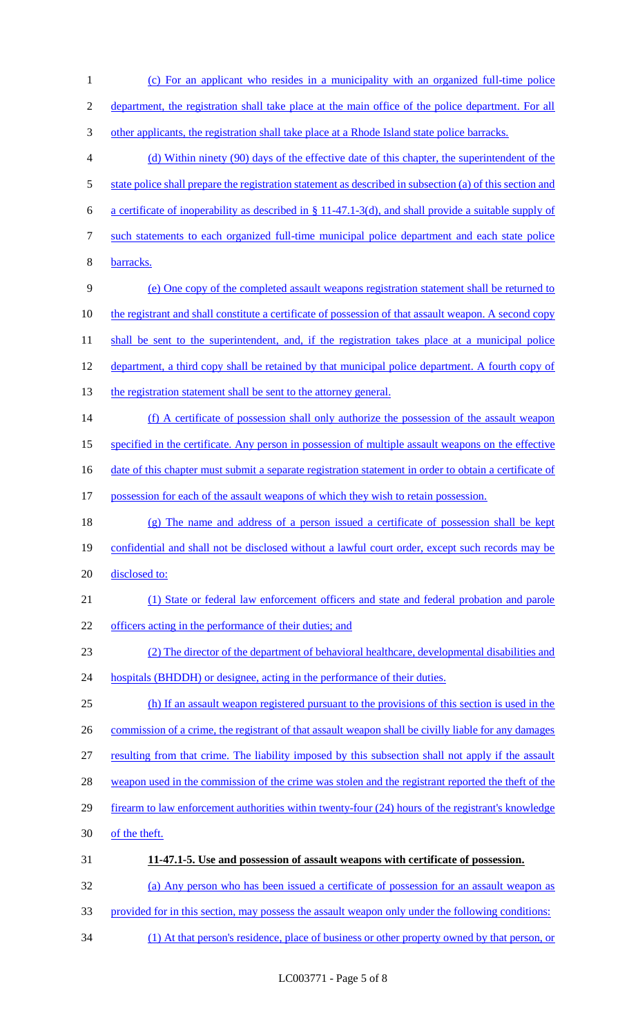(c) For an applicant who resides in a municipality with an organized full-time police department, the registration shall take place at the main office of the police department. For all 3 other applicants, the registration shall take place at a Rhode Island state police barracks. (d) Within ninety (90) days of the effective date of this chapter, the superintendent of the 5 state police shall prepare the registration statement as described in subsection (a) of this section and a certificate of inoperability as described in § 11-47.1-3(d), and shall provide a suitable supply of such statements to each organized full-time municipal police department and each state police barracks. (e) One copy of the completed assault weapons registration statement shall be returned to 10 the registrant and shall constitute a certificate of possession of that assault weapon. A second copy 11 shall be sent to the superintendent, and, if the registration takes place at a municipal police department, a third copy shall be retained by that municipal police department. A fourth copy of 13 the registration statement shall be sent to the attorney general. (f) A certificate of possession shall only authorize the possession of the assault weapon specified in the certificate. Any person in possession of multiple assault weapons on the effective 16 date of this chapter must submit a separate registration statement in order to obtain a certificate of possession for each of the assault weapons of which they wish to retain possession. (g) The name and address of a person issued a certificate of possession shall be kept 19 confidential and shall not be disclosed without a lawful court order, except such records may be 20 disclosed to: (1) State or federal law enforcement officers and state and federal probation and parole 22 officers acting in the performance of their duties; and (2) The director of the department of behavioral healthcare, developmental disabilities and 24 hospitals (BHDDH) or designee, acting in the performance of their duties. (h) If an assault weapon registered pursuant to the provisions of this section is used in the 26 commission of a crime, the registrant of that assault weapon shall be civilly liable for any damages resulting from that crime. The liability imposed by this subsection shall not apply if the assault 28 weapon used in the commission of the crime was stolen and the registrant reported the theft of the firearm to law enforcement authorities within twenty-four (24) hours of the registrant's knowledge of the theft. **11-47.1-5. Use and possession of assault weapons with certificate of possession.**  (a) Any person who has been issued a certificate of possession for an assault weapon as provided for in this section, may possess the assault weapon only under the following conditions:

(1) At that person's residence, place of business or other property owned by that person, or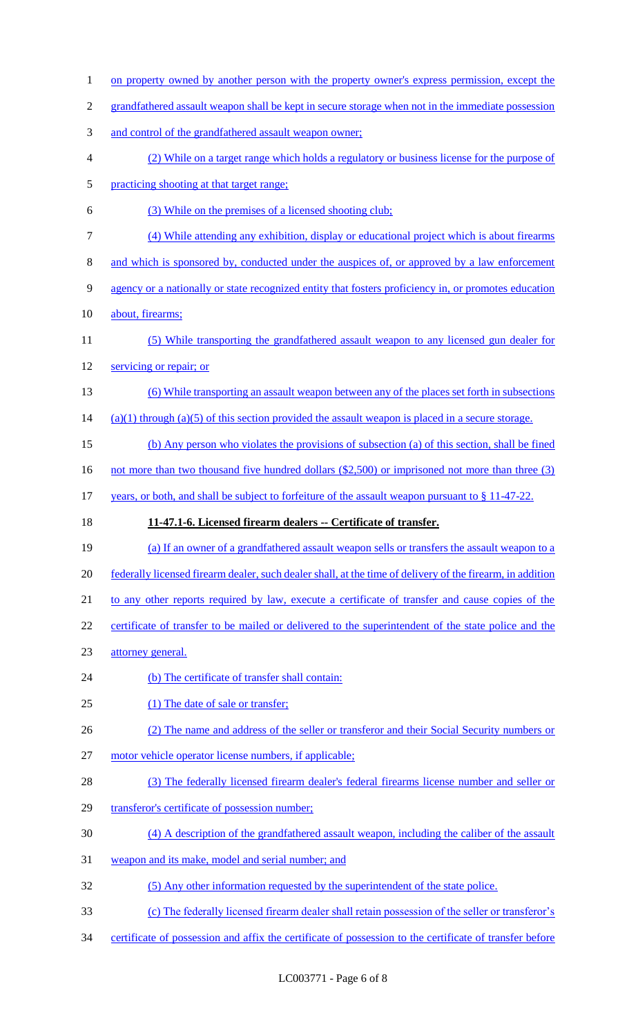1 on property owned by another person with the property owner's express permission, except the grandfathered assault weapon shall be kept in secure storage when not in the immediate possession and control of the grandfathered assault weapon owner; (2) While on a target range which holds a regulatory or business license for the purpose of practicing shooting at that target range; (3) While on the premises of a licensed shooting club; (4) While attending any exhibition, display or educational project which is about firearms and which is sponsored by, conducted under the auspices of, or approved by a law enforcement agency or a nationally or state recognized entity that fosters proficiency in, or promotes education about, firearms; (5) While transporting the grandfathered assault weapon to any licensed gun dealer for 12 servicing or repair; or (6) While transporting an assault weapon between any of the places set forth in subsections (a)(1) through (a)(5) of this section provided the assault weapon is placed in a secure storage. (b) Any person who violates the provisions of subsection (a) of this section, shall be fined 16 not more than two thousand five hundred dollars (\$2,500) or imprisoned not more than three (3) 17 years, or both, and shall be subject to forfeiture of the assault weapon pursuant to § 11-47-22. **11-47.1-6. Licensed firearm dealers -- Certificate of transfer.**  (a) If an owner of a grandfathered assault weapon sells or transfers the assault weapon to a federally licensed firearm dealer, such dealer shall, at the time of delivery of the firearm, in addition 21 to any other reports required by law, execute a certificate of transfer and cause copies of the certificate of transfer to be mailed or delivered to the superintendent of the state police and the attorney general. 24 (b) The certificate of transfer shall contain: 25 (1) The date of sale or transfer; (2) The name and address of the seller or transferor and their Social Security numbers or motor vehicle operator license numbers, if applicable; (3) The federally licensed firearm dealer's federal firearms license number and seller or 29 transferor's certificate of possession number; (4) A description of the grandfathered assault weapon, including the caliber of the assault weapon and its make, model and serial number; and (5) Any other information requested by the superintendent of the state police. (c) The federally licensed firearm dealer shall retain possession of the seller or transferor's certificate of possession and affix the certificate of possession to the certificate of transfer before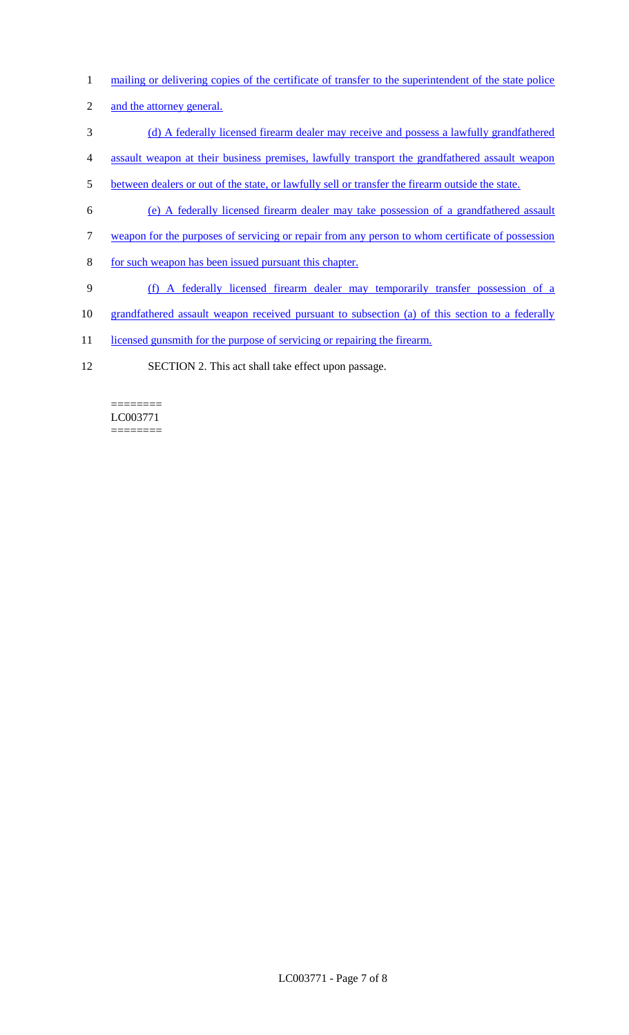- 1 mailing or delivering copies of the certificate of transfer to the superintendent of the state police
- 2 and the attorney general.
- 3 (d) A federally licensed firearm dealer may receive and possess a lawfully grandfathered
- 4 assault weapon at their business premises, lawfully transport the grandfathered assault weapon
- 5 between dealers or out of the state, or lawfully sell or transfer the firearm outside the state.
- 6 (e) A federally licensed firearm dealer may take possession of a grandfathered assault
- 7 weapon for the purposes of servicing or repair from any person to whom certificate of possession
- 8 for such weapon has been issued pursuant this chapter.
- 9 (f) A federally licensed firearm dealer may temporarily transfer possession of a
- 10 grandfathered assault weapon received pursuant to subsection (a) of this section to a federally
- 11 licensed gunsmith for the purpose of servicing or repairing the firearm.
- 12 SECTION 2. This act shall take effect upon passage.

======== LC003771 ========